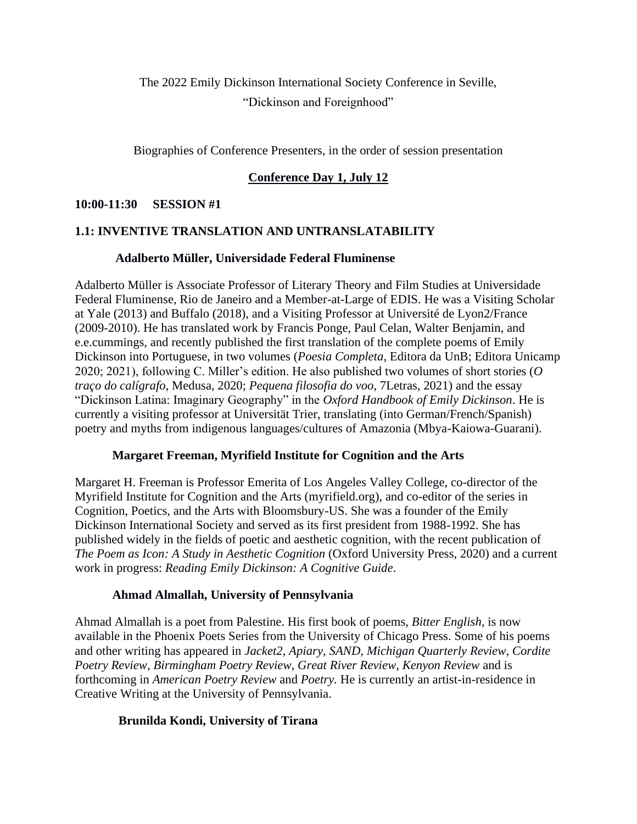# The 2022 Emily Dickinson International Society Conference in Seville, "Dickinson and Foreignhood"

Biographies of Conference Presenters, in the order of session presentation

#### **Conference Day 1, July 12**

#### **10:00-11:30 SESSION #1**

#### **1.1: INVENTIVE TRANSLATION AND UNTRANSLATABILITY**

#### **Adalberto Müller, Universidade Federal Fluminense**

Adalberto Müller is Associate Professor of Literary Theory and Film Studies at Universidade Federal Fluminense, Rio de Janeiro and a Member-at-Large of EDIS. He was a Visiting Scholar at Yale (2013) and Buffalo (2018), and a Visiting Professor at Université de Lyon2/France (2009-2010). He has translated work by Francis Ponge, Paul Celan, Walter Benjamin, and e.e.cummings, and recently published the first translation of the complete poems of Emily Dickinson into Portuguese, in two volumes (*Poesia Completa*, Editora da UnB; Editora Unicamp 2020; 2021), following C. Miller's edition. He also published two volumes of short stories (*O traço do calígrafo*, Medusa, 2020; *Pequena filosofia do voo*, 7Letras, 2021) and the essay "Dickinson Latina: Imaginary Geography" in the *Oxford Handbook of Emily Dickinson*. He is currently a visiting professor at Universität Trier, translating (into German/French/Spanish) poetry and myths from indigenous languages/cultures of Amazonia (Mbya-Kaiowa-Guarani).

#### **Margaret Freeman, Myrifield Institute for Cognition and the Arts**

Margaret H. Freeman is Professor Emerita of Los Angeles Valley College, co-director of the Myrifield Institute for Cognition and the Arts [\(myrifield.org\)](https://nam12.safelinks.protection.outlook.com/?url=http%3A%2F%2Fmyrifield.org%2F&data=04%7C01%7Cabhipsac@g-mail.buffalo.edu%7C9e03046aa625465e168208d9f22e3f71%7C96464a8af8ed40b199e25f6b50a20250%7C0%7C0%7C637807103473120093%7CUnknown%7CTWFpbGZsb3d8eyJWIjoiMC4wLjAwMDAiLCJQIjoiV2luMzIiLCJBTiI6Ik1haWwiLCJXVCI6Mn0%3D%7C3000&sdata=CVPxGI5sLZ5Vw0nJA6ZgF0fXvUEvrpQEkAR5sNNPmH8%3D&reserved=0), and co-editor of the series in Cognition, Poetics, and the Arts with Bloomsbury-US. She was a founder of the Emily Dickinson International Society and served as its first president from 1988-1992. She has published widely in the fields of poetic and aesthetic cognition, with the recent publication of *The Poem as Icon: A Study in Aesthetic Cognition* (Oxford University Press, 2020) and a current work in progress: *Reading Emily Dickinson: A Cognitive Guide*.

#### **Ahmad Almallah, University of Pennsylvania**

Ahmad Almallah is a poet from Palestine. His first book of poems, *Bitter English*, is now available in the Phoenix Poets Series from the University of Chicago Press. Some of his poems and other writing has appeared in *Jacket2*, *Apiary*, *SAND, Michigan Quarterly Review*, *Cordite Poetry Review, Birmingham Poetry Review*, *Great River Review, Kenyon Review* and is forthcoming in *American Poetry Review* and *Poetry.* He is currently an artist-in-residence in Creative Writing at the University of Pennsylvania.

### **Brunilda Kondi, University of Tirana**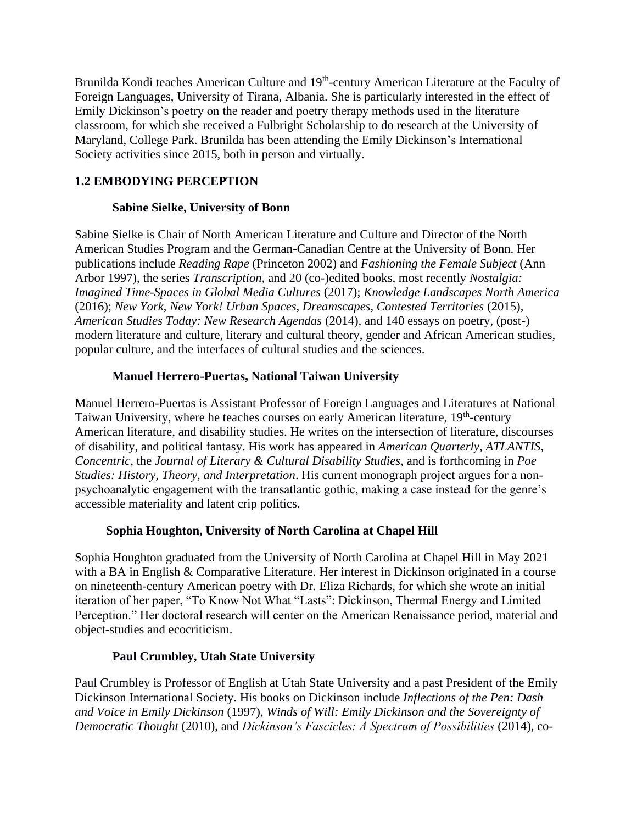Brunilda Kondi teaches American Culture and 19<sup>th</sup>-century American Literature at the Faculty of Foreign Languages, University of Tirana, Albania. She is particularly interested in the effect of Emily Dickinson's poetry on the reader and poetry therapy methods used in the literature classroom, for which she received a Fulbright Scholarship to do research at the University of Maryland, College Park. Brunilda has been attending the Emily Dickinson's International Society activities since 2015, both in person and virtually.

## **1.2 EMBODYING PERCEPTION**

### **Sabine Sielke, University of Bonn**

Sabine Sielke is Chair of North American Literature and Culture and Director of the North American Studies Program and the German-Canadian Centre at the University of Bonn. Her publications include *Reading Rape* (Princeton 2002) and *Fashioning the Female Subject* (Ann Arbor 1997), the series *Transcription*, and 20 (co-)edited books, most recently *Nostalgia: Imagined Time-Spaces in Global Media Cultures* (2017); *Knowledge Landscapes North America* (2016); *New York, New York! Urban Spaces, Dreamscapes, Contested Territories* (2015), *American Studies Today: New Research Agendas* (2014), and 140 essays on poetry, (post-) modern literature and culture, literary and cultural theory, gender and African American studies, popular culture, and the interfaces of cultural studies and the sciences.

## **Manuel Herrero-Puertas, National Taiwan University**

Manuel Herrero-Puertas is Assistant Professor of Foreign Languages and Literatures at National Taiwan University, where he teaches courses on early American literature, 19<sup>th</sup>-century American literature, and disability studies. He writes on the intersection of literature, discourses of disability, and political fantasy. His work has appeared in *American Quarterly*, *ATLANTIS*, *Concentric*, the *Journal of Literary & Cultural Disability Studies*, and is forthcoming in *Poe Studies: History, Theory, and Interpretation*. His current monograph project argues for a nonpsychoanalytic engagement with the transatlantic gothic, making a case instead for the genre's accessible materiality and latent crip politics.

### **Sophia Houghton, University of North Carolina at Chapel Hill**

Sophia Houghton graduated from the University of North Carolina at Chapel Hill in May 2021 with a BA in English & Comparative Literature. Her interest in Dickinson originated in a course on nineteenth-century American poetry with Dr. Eliza Richards, for which she wrote an initial iteration of her paper, "To Know Not What "Lasts": Dickinson, Thermal Energy and Limited Perception." Her doctoral research will center on the American Renaissance period, material and object-studies and ecocriticism.

### **Paul Crumbley, Utah State University**

Paul Crumbley is Professor of English at Utah State University and a past President of the Emily Dickinson International Society. His books on Dickinson include *Inflections of the Pen: Dash and Voice in Emily Dickinson* (1997), *Winds of Will: Emily Dickinson and the Sovereignty of Democratic Thought* (2010), and *Dickinson's Fascicles: A Spectrum of Possibilities* (2014), co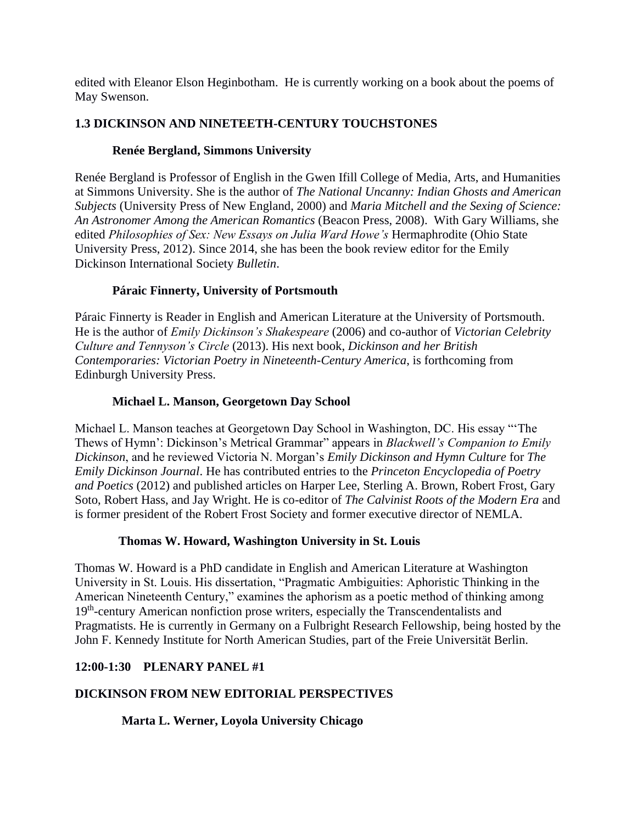edited with Eleanor Elson Heginbotham. He is currently working on a book about the poems of May Swenson.

### **1.3 DICKINSON AND NINETEETH-CENTURY TOUCHSTONES**

### **Renée Bergland, Simmons University**

Renée Bergland is Professor of English in the Gwen Ifill College of Media, Arts, and Humanities at Simmons University. She is the author of *The National Uncanny: Indian Ghosts and American Subjects* (University Press of New England, 2000) and *Maria Mitchell and the Sexing of Science: An Astronomer Among the American Romantics* (Beacon Press, 2008). With Gary Williams, she edited *Philosophies of Sex: New Essays on Julia Ward Howe's* Hermaphrodite (Ohio State University Press, 2012). Since 2014, she has been the book review editor for the Emily Dickinson International Society *Bulletin*.

### **Páraic Finnerty, University of Portsmouth**

Páraic Finnerty is Reader in English and American Literature at the University of Portsmouth. He is the author of *Emily Dickinson's Shakespeare* (2006) and co-author of *Victorian Celebrity Culture and Tennyson's Circle* (2013). His next book, *Dickinson and her British Contemporaries: Victorian Poetry in Nineteenth-Century America*, is forthcoming from Edinburgh University Press.

### **Michael L. Manson, Georgetown Day School**

Michael L. Manson teaches at Georgetown Day School in Washington, DC. His essay "'The Thews of Hymn': Dickinson's Metrical Grammar" appears in *Blackwell's Companion to Emily Dickinson*, and he reviewed Victoria N. Morgan's *Emily Dickinson and Hymn Culture* for *The Emily Dickinson Journal*. He has contributed entries to the *Princeton Encyclopedia of Poetry and Poetics* (2012) and published articles on Harper Lee, Sterling A. Brown, Robert Frost, Gary Soto, Robert Hass, and Jay Wright. He is co-editor of *The Calvinist Roots of the Modern Era* and is former president of the Robert Frost Society and former executive director of NEMLA.

### **Thomas W. Howard, Washington University in St. Louis**

Thomas W. Howard is a PhD candidate in English and American Literature at Washington University in St. Louis. His dissertation, "Pragmatic Ambiguities: Aphoristic Thinking in the American Nineteenth Century," examines the aphorism as a poetic method of thinking among 19<sup>th</sup>-century American nonfiction prose writers, especially the Transcendentalists and Pragmatists. He is currently in Germany on a Fulbright Research Fellowship, being hosted by the John F. Kennedy Institute for North American Studies, part of the Freie Universität Berlin.

## **12:00-1:30 PLENARY PANEL #1**

## **DICKINSON FROM NEW EDITORIAL PERSPECTIVES**

## **Marta L. Werner, Loyola University Chicago**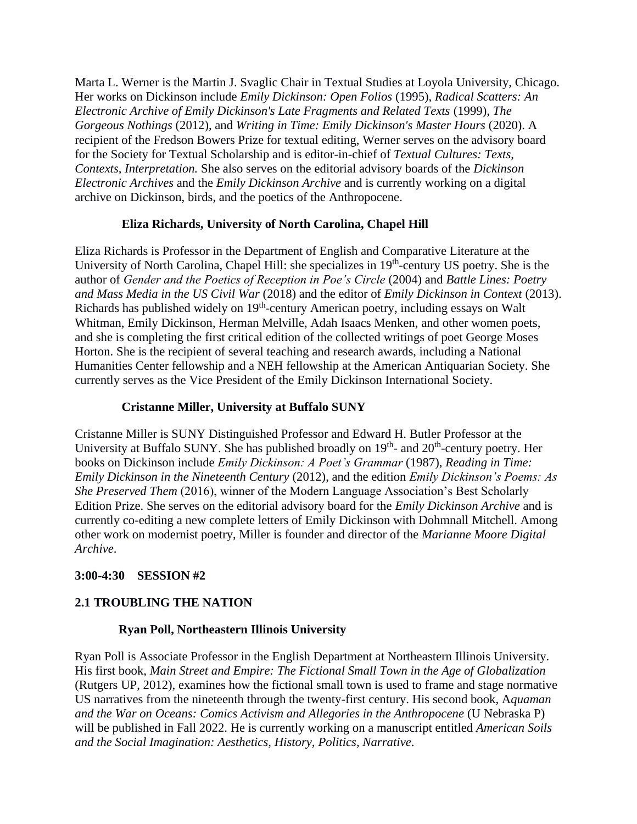Marta L. Werner is the Martin J. Svaglic Chair in Textual Studies at Loyola University, Chicago. Her works on Dickinson include *Emily Dickinson: Open Folios* (1995), *Radical Scatters: An Electronic Archive of Emily Dickinson's Late Fragments and Related Texts* (1999), *The Gorgeous Nothings* (2012), and *Writing in Time: Emily Dickinson's Master Hours* (2020). A recipient of the Fredson Bowers Prize for textual editing, Werner serves on the advisory board for the Society for Textual Scholarship and is editor-in-chief of *Textual Cultures: Texts, Contexts, Interpretation.* She also serves on the editorial advisory boards of the *Dickinson Electronic Archives* and the *Emily Dickinson Archive* and is currently working on a digital archive on Dickinson, birds, and the poetics of the Anthropocene.

### **Eliza Richards, University of North Carolina, Chapel Hill**

Eliza Richards is Professor in the Department of English and Comparative Literature at the University of North Carolina, Chapel Hill: she specializes in 19<sup>th</sup>-century US poetry. She is the author of *Gender and the Poetics of Reception in Poe's Circle* (2004) and *Battle Lines: Poetry and Mass Media in the US Civil War* (2018) and the editor of *Emily Dickinson in Context* (2013). Richards has published widely on 19<sup>th</sup>-century American poetry, including essays on Walt Whitman, Emily Dickinson, Herman Melville, Adah Isaacs Menken, and other women poets, and she is completing the first critical edition of the collected writings of poet George Moses Horton. She is the recipient of several teaching and research awards, including a National Humanities Center fellowship and a NEH fellowship at the American Antiquarian Society. She currently serves as the Vice President of the Emily Dickinson International Society.

### **Cristanne Miller, University at Buffalo SUNY**

Cristanne Miller is SUNY Distinguished Professor and Edward H. Butler Professor at the University at Buffalo SUNY. She has published broadly on  $19<sup>th</sup>$ - and  $20<sup>th</sup>$ -century poetry. Her books on Dickinson include *Emily Dickinson: A Poet's Grammar* (1987), *Reading in Time: Emily Dickinson in the Nineteenth Century* (2012), and the edition *Emily Dickinson's Poems: As She Preserved Them* (2016), winner of the Modern Language Association's Best Scholarly Edition Prize. She serves on the editorial advisory board for the *Emily Dickinson Archive* and is currently co-editing a new complete letters of Emily Dickinson with Dohmnall Mitchell. Among other work on modernist poetry, Miller is founder and director of the *Marianne Moore Digital Archive*.

### **3:00-4:30 SESSION #2**

## **2.1 TROUBLING THE NATION**

## **Ryan Poll, Northeastern Illinois University**

Ryan Poll is Associate Professor in the English Department at Northeastern Illinois University. His first book, *Main Street and Empire: The Fictional Small Town in the Age of Globalization* (Rutgers UP, 2012), examines how the fictional small town is used to frame and stage normative US narratives from the nineteenth through the twenty-first century. His second book, A*quaman and the War on Oceans: Comics Activism and Allegories in the Anthropocene* (U Nebraska P) will be published in Fall 2022. He is currently working on a manuscript entitled *American Soils and the Social Imagination: Aesthetics, History, Politics, Narrative*.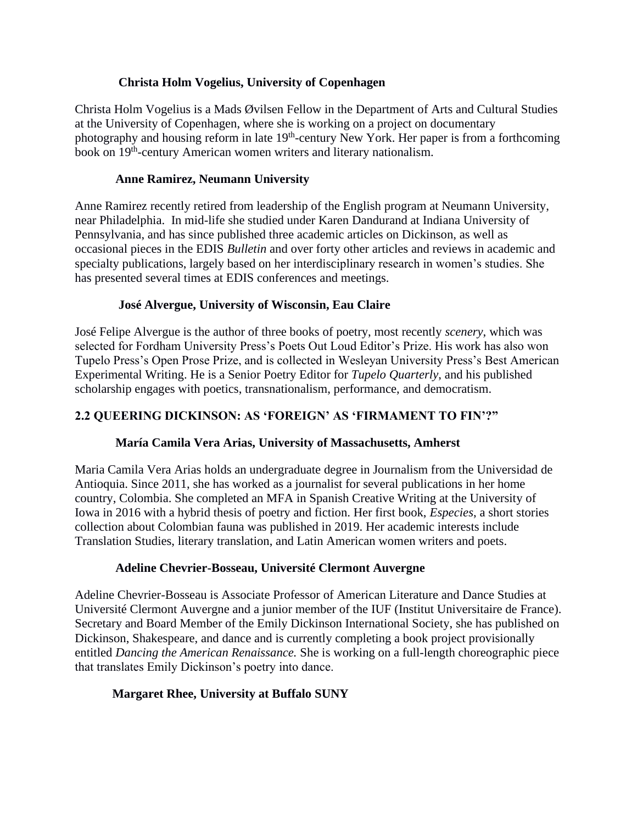### **Christa Holm Vogelius, University of Copenhagen**

Christa Holm Vogelius is a Mads Øvilsen Fellow in the Department of Arts and Cultural Studies at the University of Copenhagen, where she is working on a project on documentary photography and housing reform in late 19<sup>th</sup>-century New York. Her paper is from a forthcoming book on 19<sup>th</sup>-century American women writers and literary nationalism.

### **Anne Ramirez, Neumann University**

Anne Ramirez recently retired from leadership of the English program at Neumann University, near Philadelphia. In mid-life she studied under Karen Dandurand at Indiana University of Pennsylvania, and has since published three academic articles on Dickinson, as well as occasional pieces in the EDIS *Bulletin* and over forty other articles and reviews in academic and specialty publications, largely based on her interdisciplinary research in women's studies. She has presented several times at EDIS conferences and meetings.

### **José Alvergue, University of Wisconsin, Eau Claire**

José Felipe Alvergue is the author of three books of poetry, most recently *scenery*, which was selected for Fordham University Press's Poets Out Loud Editor's Prize. His work has also won Tupelo Press's Open Prose Prize, and is collected in Wesleyan University Press's Best American Experimental Writing. He is a Senior Poetry Editor for *Tupelo Quarterly*, and his published scholarship engages with poetics, transnationalism, performance, and democratism.

## **2.2 QUEERING DICKINSON: AS 'FOREIGN' AS 'FIRMAMENT TO FIN'?"**

## **María Camila Vera Arias, University of Massachusetts, Amherst**

Maria Camila Vera Arias holds an undergraduate degree in Journalism from the Universidad de Antioquia. Since 2011, she has worked as a journalist for several publications in her home country, Colombia. She completed an MFA in Spanish Creative Writing at the University of Iowa in 2016 with a hybrid thesis of poetry and fiction. Her first book, *Especies*, a short stories collection about Colombian fauna was published in 2019. Her academic interests include Translation Studies, literary translation, and Latin American women writers and poets.

### **Adeline Chevrier-Bosseau, Université Clermont Auvergne**

Adeline Chevrier-Bosseau is Associate Professor of American Literature and Dance Studies at Université Clermont Auvergne and a junior member of the IUF (Institut Universitaire de France). Secretary and Board Member of the Emily Dickinson International Society, she has published on Dickinson, Shakespeare, and dance and is currently completing a book project provisionally entitled *Dancing the American Renaissance.* She is working on a full-length choreographic piece that translates Emily Dickinson's poetry into dance.

## **Margaret Rhee, University at Buffalo SUNY**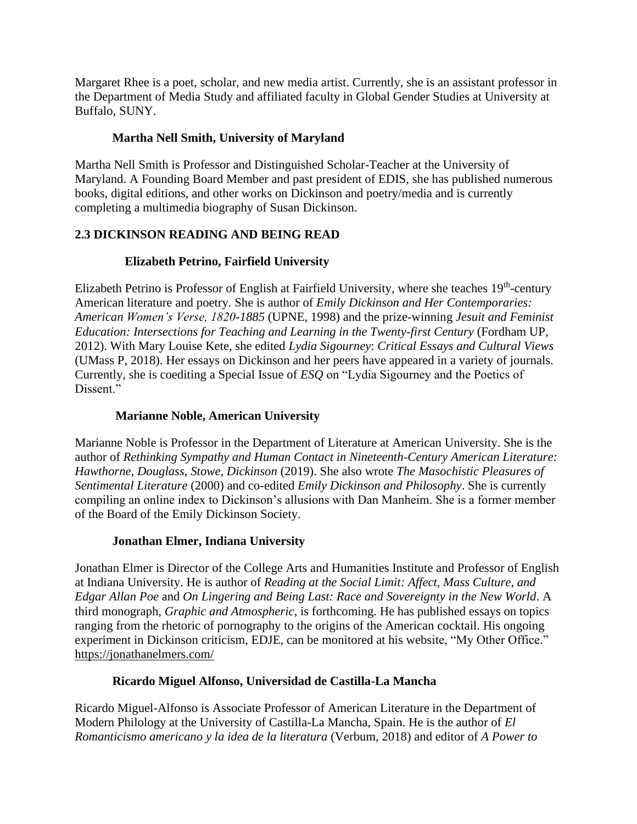Margaret Rhee is a poet, scholar, and new media artist. Currently, she is an assistant professor in the Department of Media Study and affiliated faculty in Global Gender Studies at University at Buffalo, SUNY.

### **Martha Nell Smith, University of Maryland**

Martha Nell Smith is Professor and Distinguished Scholar-Teacher at the University of Maryland. A Founding Board Member and past president of EDIS, she has published numerous books, digital editions, and other works on Dickinson and poetry/media and is currently completing a multimedia biography of Susan Dickinson.

## **2.3 DICKINSON READING AND BEING READ**

### **Elizabeth Petrino, Fairfield University**

Elizabeth Petrino is Professor of English at Fairfield University, where she teaches 19<sup>th</sup>-century American literature and poetry. She is author of *Emily Dickinson and Her Contemporaries: American Women's Verse, 1820-1885* (UPNE, 1998) and the prize-winning *Jesuit and Feminist Education: Intersections for Teaching and Learning in the Twenty-first Century (Fordham UP,* 2012). With Mary Louise Kete, she edited *Lydia Sigourney*: *Critical Essays and Cultural Views* (UMass P, 2018). Her essays on Dickinson and her peers have appeared in a variety of journals. Currently, she is coediting a Special Issue of *ESQ* on "Lydia Sigourney and the Poetics of Dissent."

### **Marianne Noble, American University**

Marianne Noble is Professor in the Department of Literature at American University. She is the author of *Rethinking Sympathy and Human Contact in Nineteenth-Century American Literature: Hawthorne, Douglass, Stowe, Dickinson* (2019). She also wrote *The Masochistic Pleasures of Sentimental Literature* (2000) and co-edited *Emily Dickinson and Philosophy*. She is currently compiling an online index to Dickinson's allusions with Dan Manheim. She is a former member of the Board of the Emily Dickinson Society.

### **Jonathan Elmer, Indiana University**

Jonathan Elmer is Director of the College Arts and Humanities Institute and Professor of English at Indiana University. He is author of *Reading at the Social Limit: Affect, Mass Culture, and Edgar Allan Poe* and *On Lingering and Being Last: Race and Sovereignty in the New World*. A third monograph, *Graphic and Atmospheric*, is forthcoming. He has published essays on topics ranging from the rhetoric of pornography to the origins of the American cocktail. His ongoing experiment in Dickinson criticism, EDJE, can be monitored at his website, "My Other Office.["](https://jonathanelmers.com/) <https://jonathanelmers.com/>

### **Ricardo Miguel Alfonso, Universidad de Castilla-La Mancha**

Ricardo Miguel-Alfonso is Associate Professor of American Literature in the Department of Modern Philology at the University of Castilla-La Mancha, Spain. He is the author of *El Romanticismo americano y la idea de la literatura* (Verbum, 2018) and editor of *A Power to*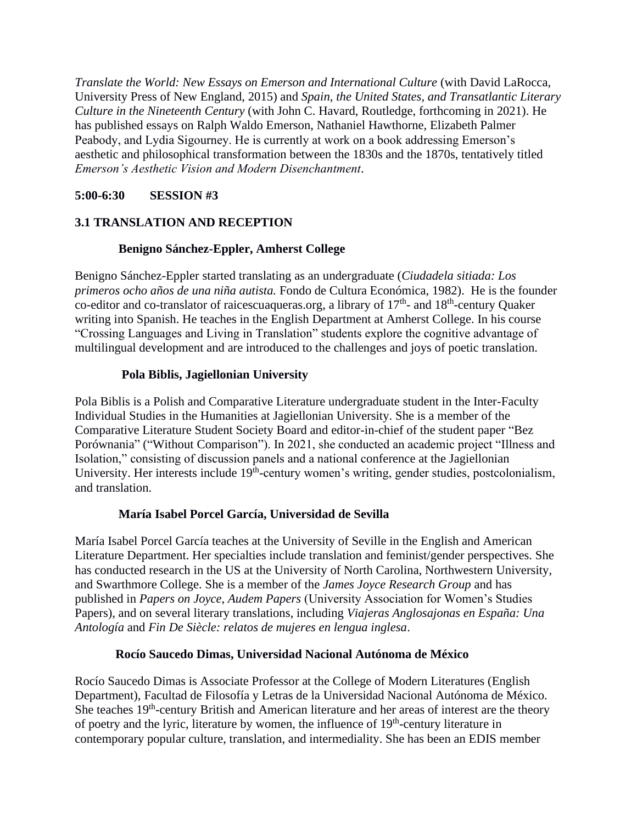*Translate the World: New Essays on Emerson and International Culture* (with David LaRocca, University Press of New England, 2015) and *Spain, the United States, and Transatlantic Literary Culture in the Nineteenth Century* (with John C. Havard, Routledge, forthcoming in 2021). He has published essays on Ralph Waldo Emerson, Nathaniel Hawthorne, Elizabeth Palmer Peabody, and Lydia Sigourney. He is currently at work on a book addressing Emerson's aesthetic and philosophical transformation between the 1830s and the 1870s, tentatively titled *Emerson's Aesthetic Vision and Modern Disenchantment*.

### **5:00-6:30 SESSION #3**

### **3.1 TRANSLATION AND RECEPTION**

### **Benigno Sánchez-Eppler, Amherst College**

Benigno Sánchez-Eppler started translating as an undergraduate (*Ciudadela sitiada: Los primeros ocho años de una niña autista.* Fondo de Cultura Económica, 1982). He is the founder co-editor and co-translator of raicescuaqueras.org, a library of  $17<sup>th</sup>$ - and  $18<sup>th</sup>$ -century Quaker writing into Spanish. He teaches in the English Department at Amherst College. In his course "Crossing Languages and Living in Translation" students explore the cognitive advantage of multilingual development and are introduced to the challenges and joys of poetic translation.

### **Pola Biblis, Jagiellonian University**

Pola Biblis is a Polish and Comparative Literature undergraduate student in the Inter-Faculty Individual Studies in the Humanities at Jagiellonian University. She is a member of the Comparative Literature Student Society Board and editor-in-chief of the student paper "Bez Porównania" ("Without Comparison"). In 2021, she conducted an academic project "Illness and Isolation," consisting of discussion panels and a national conference at the Jagiellonian University. Her interests include 19<sup>th</sup>-century women's writing, gender studies, postcolonialism, and translation.

### **María Isabel Porcel García, Universidad de Sevilla**

María Isabel Porcel García teaches at the University of Seville in the English and American Literature Department. Her specialties include translation and feminist/gender perspectives. She has conducted research in the US at the University of North Carolina, Northwestern University, and Swarthmore College. She is a member of the *James Joyce Research Group* and has published in *Papers on Joyce*, *Audem Papers* (University Association for Women's Studies Papers), and on several literary translations, including *Viajeras Anglosajonas en España: Una Antología* and *Fin De Siècle: relatos de mujeres en lengua inglesa*.

### **Rocío Saucedo Dimas, Universidad Nacional Autónoma de México**

Rocío Saucedo Dimas is Associate Professor at the College of Modern Literatures (English Department), Facultad de Filosofía y Letras de la Universidad Nacional Autónoma de México. She teaches 19<sup>th</sup>-century British and American literature and her areas of interest are the theory of poetry and the lyric, literature by women, the influence of 19<sup>th</sup>-century literature in contemporary popular culture, translation, and intermediality. She has been an EDIS member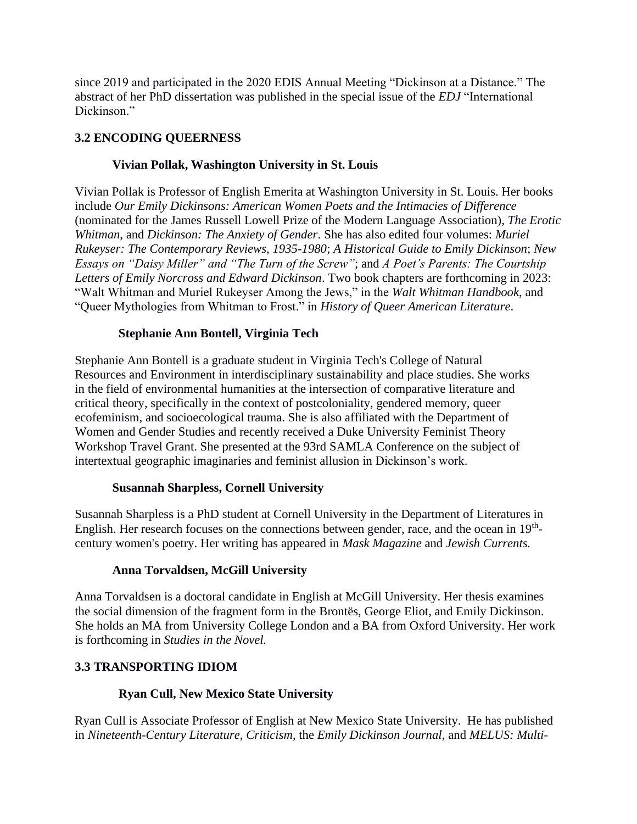since 2019 and participated in the 2020 EDIS Annual Meeting "Dickinson at a Distance." The abstract of her PhD dissertation was published in the special issue of the *EDJ* "International Dickinson."

## **3.2 ENCODING QUEERNESS**

### **Vivian Pollak, Washington University in St. Louis**

Vivian Pollak is Professor of English Emerita at Washington University in St. Louis. Her books include *Our Emily Dickinsons: American Women Poets and the Intimacies of Difference* (nominated for the James Russell Lowell Prize of the Modern Language Association), *The Erotic Whitman*, and *Dickinson: The Anxiety of Gender*. She has also edited four volumes: *Muriel Rukeyser: The Contemporary Reviews, 1935-1980*; *A Historical Guide to Emily Dickinson*; *New Essays on "Daisy Miller" and "The Turn of the Screw"*; and *A Poet's Parents: The Courtship Letters of Emily Norcross and Edward Dickinson*. Two book chapters are forthcoming in 2023: "Walt Whitman and Muriel Rukeyser Among the Jews," in the *Walt Whitman Handbook*, and "Queer Mythologies from Whitman to Frost." in *History of Queer American Literature*.

#### **Stephanie Ann Bontell, Virginia Tech**

Stephanie Ann Bontell is a graduate student in Virginia Tech's College of Natural Resources and Environment in interdisciplinary sustainability and place studies. She works in the field of environmental humanities at the intersection of comparative literature and critical theory, specifically in the context of postcoloniality, gendered memory, queer ecofeminism, and socioecological trauma. She is also affiliated with the Department of Women and Gender Studies and recently received a Duke University Feminist Theory Workshop Travel Grant. She presented at the 93rd SAMLA Conference on the subject of intertextual geographic imaginaries and feminist allusion in Dickinson's work.

### **Susannah Sharpless, Cornell University**

Susannah Sharpless is a PhD student at Cornell University in the Department of Literatures in English. Her research focuses on the connections between gender, race, and the ocean in 19<sup>th</sup>century women's poetry. Her writing has appeared in *Mask Magazine* and *Jewish Currents.*

#### **Anna Torvaldsen, McGill University**

Anna Torvaldsen is a doctoral candidate in English at McGill University. Her thesis examines the social dimension of the fragment form in the Brontës, George Eliot, and Emily Dickinson. She holds an MA from University College London and a BA from Oxford University. Her work is forthcoming in *Studies in the Novel.*

### **3.3 TRANSPORTING IDIOM**

### **Ryan Cull, New Mexico State University**

Ryan Cull is Associate Professor of English at New Mexico State University. He has published in *Nineteenth-Century Literature*, *Criticism*, the *Emily Dickinson Journal*, and *MELUS: Multi-*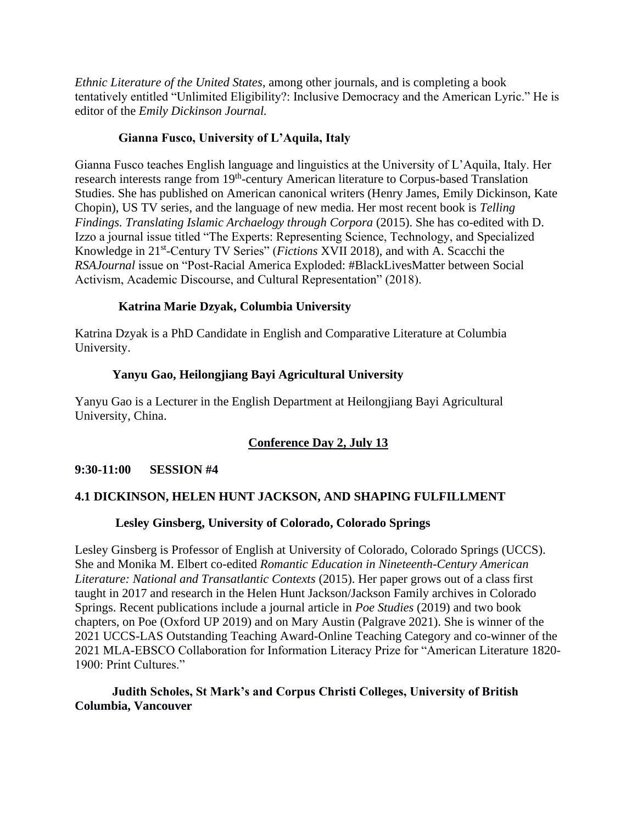*Ethnic Literature of the United States*, among other journals, and is completing a book tentatively entitled "Unlimited Eligibility?: Inclusive Democracy and the American Lyric." He is editor of the *Emily Dickinson Journal.*

#### **Gianna Fusco, University of L'Aquila, Italy**

Gianna Fusco teaches English language and linguistics at the University of L'Aquila, Italy. Her research interests range from 19<sup>th</sup>-century American literature to Corpus-based Translation Studies. She has published on American canonical writers (Henry James, Emily Dickinson, Kate Chopin), US TV series, and the language of new media. Her most recent book is *Telling Findings. Translating Islamic Archaelogy through Corpora* (2015). She has co-edited with D. Izzo a journal issue titled "The Experts: Representing Science, Technology, and Specialized Knowledge in 21st -Century TV Series" (*Fictions* XVII 2018), and with A. Scacchi the *RSAJournal* issue on "Post-Racial America Exploded: #BlackLivesMatter between Social Activism, Academic Discourse, and Cultural Representation" (2018).

### **Katrina Marie Dzyak, Columbia University**

Katrina Dzyak is a PhD Candidate in English and Comparative Literature at Columbia University.

### **Yanyu Gao, Heilongjiang Bayi Agricultural University**

Yanyu Gao is a Lecturer in the English Department at Heilongjiang Bayi Agricultural University, China.

# **Conference Day 2, July 13**

### **9:30-11:00 SESSION #4**

### **4.1 DICKINSON, HELEN HUNT JACKSON, AND SHAPING FULFILLMENT**

### **Lesley Ginsberg, University of Colorado, Colorado Springs**

Lesley Ginsberg is Professor of English at University of Colorado, Colorado Springs (UCCS). She and Monika M. Elbert co-edited *Romantic Education in Nineteenth-Century American Literature: National and Transatlantic Contexts* (2015). Her paper grows out of a class first taught in 2017 and research in the Helen Hunt Jackson/Jackson Family archives in Colorado Springs. Recent publications include a journal article in *Poe Studies* (2019) and two book chapters, on Poe (Oxford UP 2019) and on Mary Austin (Palgrave 2021). She is winner of the 2021 UCCS-LAS Outstanding Teaching Award-Online Teaching Category and co-winner of the 2021 MLA-EBSCO Collaboration for Information Literacy Prize for "American Literature 1820- 1900: Print Cultures."

#### **Judith Scholes, St Mark's and Corpus Christi Colleges, University of British Columbia, Vancouver**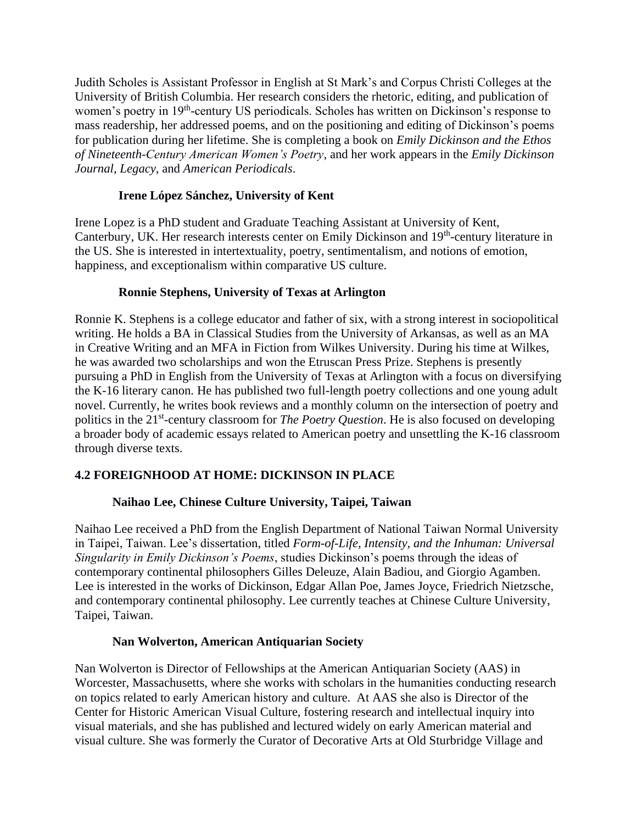Judith Scholes is Assistant Professor in English at St Mark's and Corpus Christi Colleges at the University of British Columbia. Her research considers the rhetoric, editing, and publication of women's poetry in 19<sup>th</sup>-century US periodicals. Scholes has written on Dickinson's response to mass readership, her addressed poems, and on the positioning and editing of Dickinson's poems for publication during her lifetime. She is completing a book on *Emily Dickinson and the Ethos of Nineteenth-Century American Women's Poetry*, and her work appears in the *Emily Dickinson Journal*, *Legacy*, and *American Periodicals*.

### **Irene López Sánchez, University of Kent**

Irene Lopez is a PhD student and Graduate Teaching Assistant at University of Kent, Canterbury, UK. Her research interests center on Emily Dickinson and 19<sup>th</sup>-century literature in the US. She is interested in intertextuality, poetry, sentimentalism, and notions of emotion, happiness, and exceptionalism within comparative US culture.

### **Ronnie Stephens, University of Texas at Arlington**

Ronnie K. Stephens is a college educator and father of six, with a strong interest in sociopolitical writing. He holds a BA in Classical Studies from the University of Arkansas, as well as an MA in Creative Writing and an MFA in Fiction from Wilkes University. During his time at Wilkes, he was awarded two scholarships and won the Etruscan Press Prize. Stephens is presently pursuing a PhD in English from the University of Texas at Arlington with a focus on diversifying the K-16 literary canon. He has published two full-length poetry collections and one young adult novel. Currently, he writes book reviews and a monthly column on the intersection of poetry and politics in the 21<sup>st</sup>-century classroom for *The Poetry Question*. He is also focused on developing a broader body of academic essays related to American poetry and unsettling the K-16 classroom through diverse texts.

## **4.2 FOREIGNHOOD AT HOME: DICKINSON IN PLACE**

## **Naihao Lee, Chinese Culture University, Taipei, Taiwan**

Naihao Lee received a PhD from the English Department of National Taiwan Normal University in Taipei, Taiwan. Lee's dissertation, titled *Form-of-Life, Intensity, and the Inhuman: Universal Singularity in Emily Dickinson's Poems*, studies Dickinson's poems through the ideas of contemporary continental philosophers Gilles Deleuze, Alain Badiou, and Giorgio Agamben. Lee is interested in the works of Dickinson, Edgar Allan Poe, James Joyce, Friedrich Nietzsche, and contemporary continental philosophy. Lee currently teaches at Chinese Culture University, Taipei, Taiwan.

### **Nan Wolverton, American Antiquarian Society**

Nan Wolverton is Director of Fellowships at the American Antiquarian Society (AAS) in Worcester, Massachusetts, where she works with scholars in the humanities conducting research on topics related to early American history and culture. At AAS she also is Director of the Center for Historic American Visual Culture, fostering research and intellectual inquiry into visual materials, and she has published and lectured widely on early American material and visual culture. She was formerly the Curator of Decorative Arts at Old Sturbridge Village and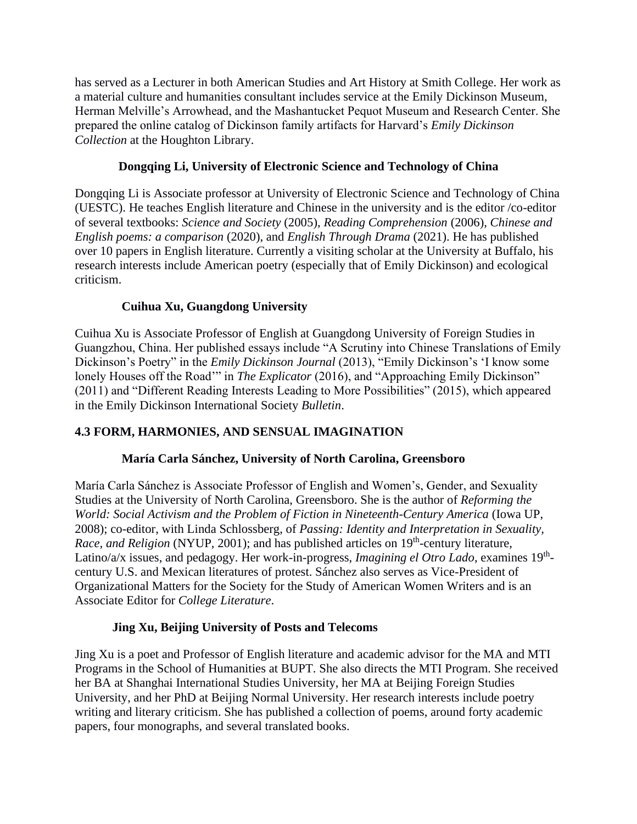has served as a Lecturer in both American Studies and Art History at Smith College. Her work as a material culture and humanities consultant includes service at the Emily Dickinson Museum, Herman Melville's Arrowhead, and the Mashantucket Pequot Museum and Research Center. She prepared the online catalog of Dickinson family artifacts for Harvard's *Emily Dickinson Collection* at the Houghton Library.

### **Dongqing Li, University of Electronic Science and Technology of China**

Dongqing Li is Associate professor at University of Electronic Science and Technology of China (UESTC). He teaches English literature and Chinese in the university and is the editor /co-editor of several textbooks: *Science and Society* (2005), *Reading Comprehension* (2006), *Chinese and English poems: a comparison* (2020), and *English Through Drama* (2021). He has published over 10 papers in English literature. Currently a visiting scholar at the University at Buffalo, his research interests include American poetry (especially that of Emily Dickinson) and ecological criticism.

## **Cuihua Xu, Guangdong University**

Cuihua Xu is Associate Professor of English at Guangdong University of Foreign Studies in Guangzhou, China. Her published essays include "A Scrutiny into Chinese Translations of Emily Dickinson's Poetry" in the *Emily Dickinson Journal* (2013), "Emily Dickinson's 'I know some lonely Houses off the Road'" in *The Explicator* (2016), and "Approaching Emily Dickinson" (2011) and "Different Reading Interests Leading to More Possibilities" (2015), which appeared in the Emily Dickinson International Society *Bulletin*.

# **4.3 FORM, HARMONIES, AND SENSUAL IMAGINATION**

## **María Carla Sánchez, University of North Carolina, Greensboro**

María Carla Sánchez is Associate Professor of English and Women's, Gender, and Sexuality Studies at the University of North Carolina, Greensboro. She is the author of *Reforming the World: Social Activism and the Problem of Fiction in Nineteenth-Century America* (Iowa UP, 2008); co-editor, with Linda Schlossberg, of *Passing: Identity and Interpretation in Sexuality,*  Race, and Religion (NYUP, 2001); and has published articles on 19<sup>th</sup>-century literature, Latino/a/x issues, and pedagogy. Her work-in-progress, *Imagining el Otro Lado*, examines 19<sup>th</sup>century U.S. and Mexican literatures of protest. Sánchez also serves as Vice-President of Organizational Matters for the Society for the Study of American Women Writers and is an Associate Editor for *College Literature*.

## **Jing Xu, Beijing University of Posts and Telecoms**

Jing Xu is a poet and Professor of English literature and academic advisor for the MA and MTI Programs in the School of Humanities at BUPT. She also directs the MTI Program. She received her BA at Shanghai International Studies University, her MA at Beijing Foreign Studies University, and her PhD at Beijing Normal University. Her research interests include poetry writing and literary criticism. She has published a collection of poems, around forty academic papers, four monographs, and several translated books.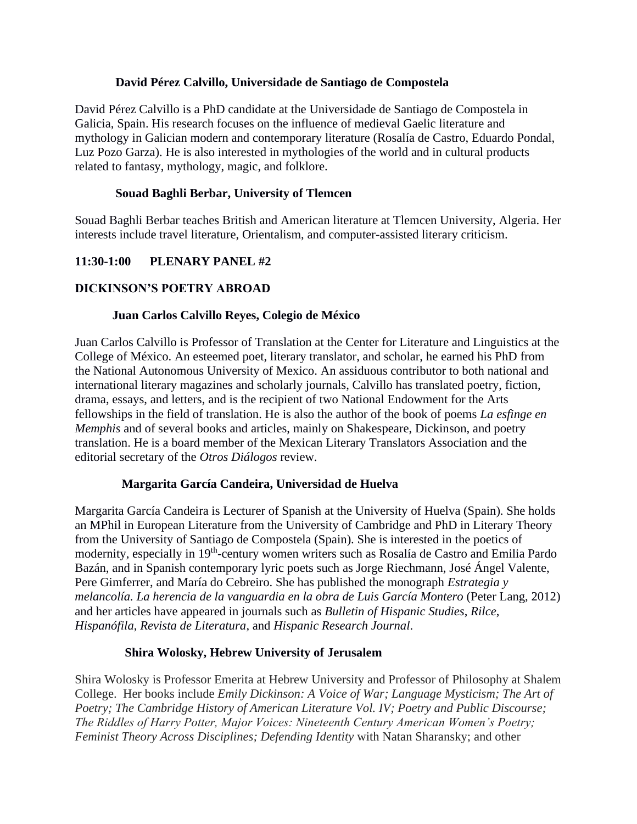### **David Pérez Calvillo, Universidade de Santiago de Compostela**

David Pérez Calvillo is a PhD candidate at the Universidade de Santiago de Compostela in Galicia, Spain. His research focuses on the influence of medieval Gaelic literature and mythology in Galician modern and contemporary literature (Rosalía de Castro, Eduardo Pondal, Luz Pozo Garza). He is also interested in mythologies of the world and in cultural products related to fantasy, mythology, magic, and folklore.

#### **Souad Baghli Berbar, University of Tlemcen**

Souad Baghli Berbar teaches British and American literature at Tlemcen University, Algeria. Her interests include travel literature, Orientalism, and computer-assisted literary criticism.

### **11:30-1:00 PLENARY PANEL #2**

### **DICKINSON'S POETRY ABROAD**

#### **Juan Carlos Calvillo Reyes, Colegio de México**

Juan Carlos Calvillo is Professor of Translation at the Center for Literature and Linguistics at the College of México. An esteemed poet, literary translator, and scholar, he earned his PhD from the National Autonomous University of Mexico. An assiduous contributor to both national and international literary magazines and scholarly journals, Calvillo has translated poetry, fiction, drama, essays, and letters, and is the recipient of two National Endowment for the Arts fellowships in the field of translation. He is also the author of the book of poems *La esfinge en Memphis* and of several books and articles, mainly on Shakespeare, Dickinson, and poetry translation. He is a board member of the Mexican Literary Translators Association and the editorial secretary of the *Otros Diálogos* review.

#### **Margarita García Candeira, Universidad de Huelva**

Margarita García Candeira is Lecturer of Spanish at the University of Huelva (Spain). She holds an MPhil in European Literature from the University of Cambridge and PhD in Literary Theory from the University of Santiago de Compostela (Spain). She is interested in the poetics of modernity, especially in 19<sup>th</sup>-century women writers such as Rosalía de Castro and Emilia Pardo Bazán, and in Spanish contemporary lyric poets such as Jorge Riechmann, José Ángel Valente, Pere Gimferrer, and María do Cebreiro. She has published the monograph *Estrategia y melancolía. La herencia de la vanguardia en la obra de Luis García Montero* (Peter Lang, 2012) and her articles have appeared in journals such as *Bulletin of Hispanic Studies*, *Rilce*, *Hispanófila*, *Revista de Literatura*, and *Hispanic Research Journal*.

#### **Shira Wolosky, Hebrew University of Jerusalem**

Shira Wolosky is Professor Emerita at Hebrew University and Professor of Philosophy at Shalem College. Her books include *Emily Dickinson: A Voice of War; Language Mysticism; The Art of Poetry; The Cambridge History of American Literature Vol. IV; Poetry and Public Discourse; The Riddles of Harry Potter, Major Voices: Nineteenth Century American Women's Poetry; Feminist Theory Across Disciplines; Defending Identity* with Natan Sharansky; and other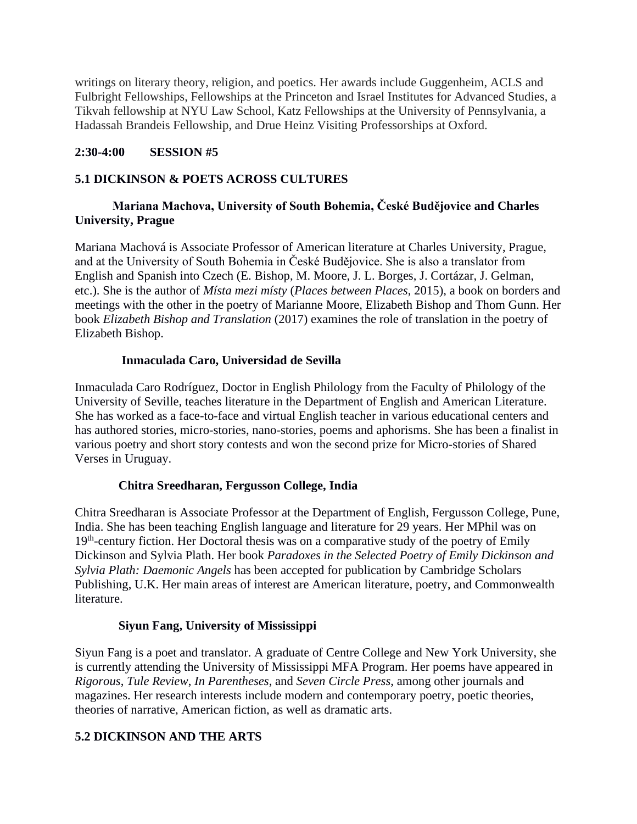writings on literary theory, religion, and poetics. Her awards include Guggenheim, ACLS and Fulbright Fellowships, Fellowships at the Princeton and Israel Institutes for Advanced Studies, a Tikvah fellowship at NYU Law School, Katz Fellowships at the University of Pennsylvania, a Hadassah Brandeis Fellowship, and Drue Heinz Visiting Professorships at Oxford.

#### **2:30-4:00 SESSION #5**

### **5.1 DICKINSON & POETS ACROSS CULTURES**

### **Mariana Machova, University of South Bohemia, České Budějovice and Charles University, Prague**

Mariana Machová is Associate Professor of American literature at Charles University, Prague, and at the University of South Bohemia in České Budějovice. She is also a translator from English and Spanish into Czech (E. Bishop, M. Moore, J. L. Borges, J. Cortázar, J. Gelman, etc.). She is the author of *Místa mezi místy* (*Places between Places*, 2015), a book on borders and meetings with the other in the poetry of Marianne Moore, Elizabeth Bishop and Thom Gunn. Her book *Elizabeth Bishop and Translation* (2017) examines the role of translation in the poetry of Elizabeth Bishop.

### **Inmaculada Caro, Universidad de Sevilla**

Inmaculada Caro Rodríguez, Doctor in English Philology from the Faculty of Philology of the University of Seville, teaches literature in the Department of English and American Literature. She has worked as a face-to-face and virtual English teacher in various educational centers and has authored stories, micro-stories, nano-stories, poems and aphorisms. She has been a finalist in various poetry and short story contests and won the second prize for Micro-stories of Shared Verses in Uruguay.

### **Chitra Sreedharan, Fergusson College, India**

Chitra Sreedharan is Associate Professor at the Department of English, Fergusson College, Pune, India. She has been teaching English language and literature for 29 years. Her MPhil was on 19<sup>th</sup>-century fiction. Her Doctoral thesis was on a comparative study of the poetry of Emily Dickinson and Sylvia Plath. Her book *Paradoxes in the Selected Poetry of Emily Dickinson and Sylvia Plath: Daemonic Angels* has been accepted for publication by Cambridge Scholars Publishing, U.K. Her main areas of interest are American literature, poetry, and Commonwealth literature.

### **Siyun Fang, University of Mississippi**

Siyun Fang is a poet and translator. A graduate of Centre College and New York University, she is currently attending the University of Mississippi MFA Program. Her poems have appeared in *Rigorous*, *Tule Review*, *In Parentheses*, and *Seven Circle Press*, among other journals and magazines. Her research interests include modern and contemporary poetry, poetic theories, theories of narrative, American fiction, as well as dramatic arts.

### **5.2 DICKINSON AND THE ARTS**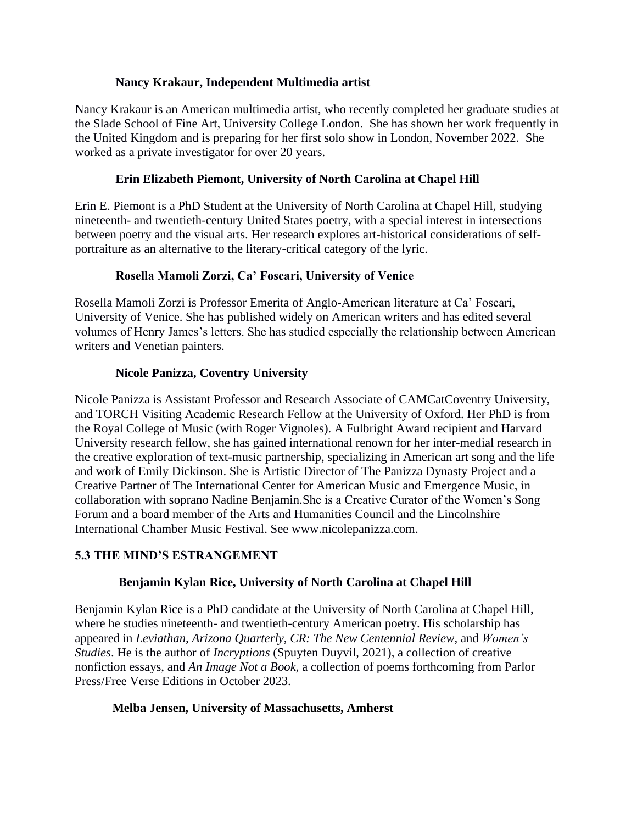#### **Nancy Krakaur, Independent Multimedia artist**

Nancy Krakaur is an American multimedia artist, who recently completed her graduate studies at the Slade School of Fine Art, University College London. She has shown her work frequently in the United Kingdom and is preparing for her first solo show in London, November 2022. She worked as a private investigator for over 20 years.

### **Erin Elizabeth Piemont, University of North Carolina at Chapel Hill**

Erin E. Piemont is a PhD Student at the University of North Carolina at Chapel Hill, studying nineteenth- and twentieth-century United States poetry, with a special interest in intersections between poetry and the visual arts. Her research explores art-historical considerations of selfportraiture as an alternative to the literary-critical category of the lyric.

#### **Rosella Mamoli Zorzi, Ca' Foscari, University of Venice**

Rosella Mamoli Zorzi is Professor Emerita of Anglo-American literature at Ca' Foscari, University of Venice. She has published widely on American writers and has edited several volumes of Henry James's letters. She has studied especially the relationship between American writers and Venetian painters.

#### **Nicole Panizza, Coventry University**

Nicole Panizza is Assistant Professor and Research Associate of CAMCatCoventry University, and TORCH Visiting Academic Research Fellow at the University of Oxford. Her PhD is from the Royal College of Music (with Roger Vignoles). A Fulbright Award recipient and Harvard University research fellow, she has gained international renown for her inter-medial research in the creative exploration of text-music partnership, specializing in American art song and the life and work of Emily Dickinson. She is Artistic Director of The Panizza Dynasty Project and a Creative Partner of The International Center for American Music and Emergence Music, in collaboration with soprano Nadine Benjamin.She is a Creative Curator of the Women's Song Forum and a board member of the Arts and Humanities Council and the Lincolnshire International Chamber Music Festival. See [www.nicolepanizza.com.](http://www.nicolepanizza.com/)

### **5.3 THE MIND'S ESTRANGEMENT**

### **Benjamin Kylan Rice, University of North Carolina at Chapel Hill**

Benjamin Kylan Rice is a PhD candidate at the University of North Carolina at Chapel Hill, where he studies nineteenth- and twentieth-century American poetry. His scholarship has appeared in *Leviathan, Arizona Quarterly, CR: The New Centennial Review,* and *Women's Studies*. He is the author of *Incryptions* (Spuyten Duyvil, 2021), a collection of creative nonfiction essays, and *An Image Not a Book*, a collection of poems forthcoming from Parlor Press/Free Verse Editions in October 2023.

#### **Melba Jensen, University of Massachusetts, Amherst**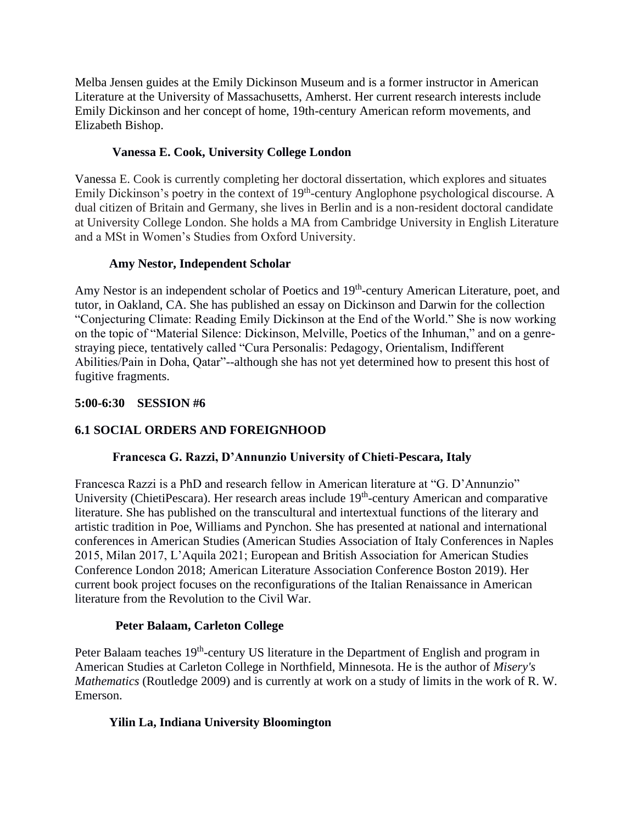Melba Jensen guides at the Emily Dickinson Museum and is a former instructor in American Literature at the University of Massachusetts, Amherst. Her current research interests include Emily Dickinson and her concept of home, 19th-century American reform movements, and Elizabeth Bishop.

### **Vanessa E. Cook, University College London**

Vanessa E. Cook is currently completing her doctoral dissertation, which explores and situates Emily Dickinson's poetry in the context of  $19<sup>th</sup>$ -century Anglophone psychological discourse. A dual citizen of Britain and Germany, she lives in Berlin and is a non-resident doctoral candidate at University College London. She holds a MA from Cambridge University in English Literature and a MSt in Women's Studies from Oxford University.

### **Amy Nestor, Independent Scholar**

Amy Nestor is an independent scholar of Poetics and 19<sup>th</sup>-century American Literature, poet, and tutor, in Oakland, CA. She has published an essay on Dickinson and Darwin for the collection "Conjecturing Climate: Reading Emily Dickinson at the End of the World." She is now working on the topic of "Material Silence: Dickinson, Melville, Poetics of the Inhuman," and on a genrestraying piece, tentatively called "Cura Personalis: Pedagogy, Orientalism, Indifferent Abilities/Pain in Doha, Qatar"--although she has not yet determined how to present this host of fugitive fragments.

### **5:00-6:30 SESSION #6**

## **6.1 SOCIAL ORDERS AND FOREIGNHOOD**

## **Francesca G. Razzi, D'Annunzio University of Chieti-Pescara, Italy**

Francesca Razzi is a PhD and research fellow in American literature at "G. D'Annunzio" University (ChietiPescara). Her research areas include 19<sup>th</sup>-century American and comparative literature. She has published on the transcultural and intertextual functions of the literary and artistic tradition in Poe, Williams and Pynchon. She has presented at national and international conferences in American Studies (American Studies Association of Italy Conferences in Naples 2015, Milan 2017, L'Aquila 2021; European and British Association for American Studies Conference London 2018; American Literature Association Conference Boston 2019). Her current book project focuses on the reconfigurations of the Italian Renaissance in American literature from the Revolution to the Civil War.

### **Peter Balaam, Carleton College**

Peter Balaam teaches 19<sup>th</sup>-century US literature in the Department of English and program in American Studies at Carleton College in Northfield, Minnesota. He is the author of *Misery's Mathematics* (Routledge 2009) and is currently at work on a study of limits in the work of R. W. Emerson.

## **Yilin La, Indiana University Bloomington**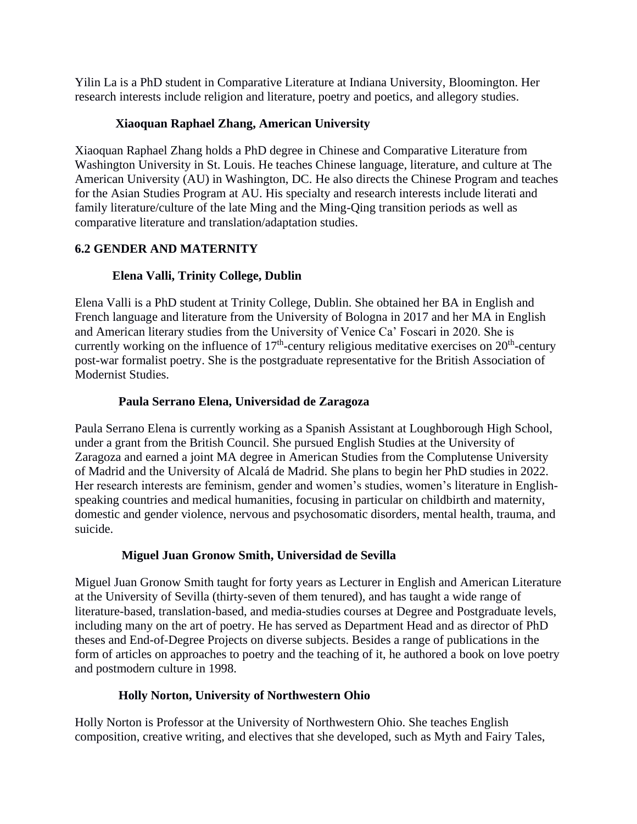Yilin La is a PhD student in Comparative Literature at Indiana University, Bloomington. Her research interests include religion and literature, poetry and poetics, and allegory studies.

### **Xiaoquan Raphael Zhang, American University**

Xiaoquan Raphael Zhang holds a PhD degree in Chinese and Comparative Literature from Washington University in St. Louis. He teaches Chinese language, literature, and culture at The American University (AU) in Washington, DC. He also directs the Chinese Program and teaches for the Asian Studies Program at AU. His specialty and research interests include literati and family literature/culture of the late Ming and the Ming-Qing transition periods as well as comparative literature and translation/adaptation studies.

## **6.2 GENDER AND MATERNITY**

# **Elena Valli, Trinity College, Dublin**

Elena Valli is a PhD student at Trinity College, Dublin. She obtained her BA in English and French language and literature from the University of Bologna in 2017 and her MA in English and American literary studies from the University of Venice Ca' Foscari in 2020. She is currently working on the influence of  $17<sup>th</sup>$ -century religious meditative exercises on  $20<sup>th</sup>$ -century post-war formalist poetry. She is the postgraduate representative for the British Association of Modernist Studies.

# **Paula Serrano Elena, Universidad de Zaragoza**

Paula Serrano Elena is currently working as a Spanish Assistant at Loughborough High School, under a grant from the British Council. She pursued English Studies at the University of Zaragoza and earned a joint MA degree in American Studies from the Complutense University of Madrid and the University of Alcalá de Madrid. She plans to begin her PhD studies in 2022. Her research interests are feminism, gender and women's studies, women's literature in Englishspeaking countries and medical humanities, focusing in particular on childbirth and maternity, domestic and gender violence, nervous and psychosomatic disorders, mental health, trauma, and suicide.

## **Miguel Juan Gronow Smith, Universidad de Sevilla**

Miguel Juan Gronow Smith taught for forty years as Lecturer in English and American Literature at the University of Sevilla (thirty-seven of them tenured), and has taught a wide range of literature-based, translation-based, and media-studies courses at Degree and Postgraduate levels, including many on the art of poetry. He has served as Department Head and as director of PhD theses and End-of-Degree Projects on diverse subjects. Besides a range of publications in the form of articles on approaches to poetry and the teaching of it, he authored a book on love poetry and postmodern culture in 1998.

# **Holly Norton, University of Northwestern Ohio**

Holly Norton is Professor at the University of Northwestern Ohio. She teaches English composition, creative writing, and electives that she developed, such as Myth and Fairy Tales,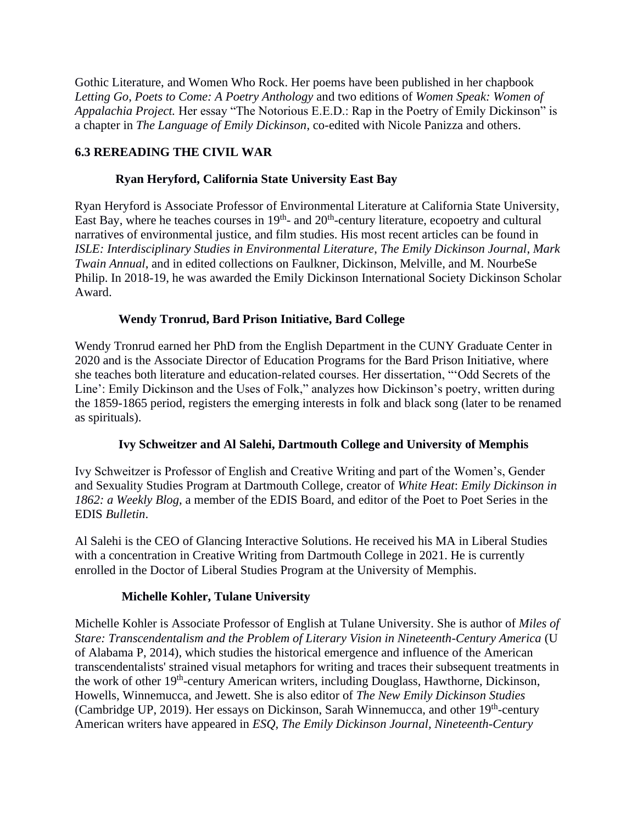Gothic Literature, and Women Who Rock. Her poems have been published in her chapbook *Letting Go*, *Poets to Come: A Poetry Anthology* and two editions of *Women Speak: Women of Appalachia Project.* Her essay "The Notorious E.E.D.: Rap in the Poetry of Emily Dickinson" is a chapter in *The Language of Emily Dickinson*, co-edited with Nicole Panizza and others.

### **6.3 REREADING THE CIVIL WAR**

#### **Ryan Heryford, California State University East Bay**

Ryan Heryford is Associate Professor of Environmental Literature at California State University, East Bay, where he teaches courses in  $19<sup>th</sup>$ - and  $20<sup>th</sup>$ -century literature, ecopoetry and cultural narratives of environmental justice, and film studies. His most recent articles can be found in *ISLE: Interdisciplinary Studies in Environmental Literature*, *The Emily Dickinson Journal*, *Mark Twain Annual*, and in edited collections on Faulkner, Dickinson, Melville, and M. NourbeSe Philip. In 2018-19, he was awarded the Emily Dickinson International Society Dickinson Scholar Award.

#### **Wendy Tronrud, Bard Prison Initiative, Bard College**

Wendy Tronrud earned her PhD from the English Department in the CUNY Graduate Center in 2020 and is the Associate Director of Education Programs for the Bard Prison Initiative, where she teaches both literature and education-related courses. Her dissertation, "'Odd Secrets of the Line': Emily Dickinson and the Uses of Folk," analyzes how Dickinson's poetry, written during the 1859-1865 period, registers the emerging interests in folk and black song (later to be renamed as spirituals).

### **Ivy Schweitzer and Al Salehi, Dartmouth College and University of Memphis**

Ivy Schweitzer is Professor of English and Creative Writing and part of the Women's, Gender and Sexuality Studies Program at Dartmouth College, creator of *White Heat*: *Emily Dickinson in 1862: a Weekly Blog*, a member of the EDIS Board, and editor of the Poet to Poet Series in the EDIS *Bulletin*.

Al Salehi is the CEO of Glancing Interactive Solutions. He received his MA in Liberal Studies with a concentration in Creative Writing from Dartmouth College in 2021. He is currently enrolled in the Doctor of Liberal Studies Program at the University of Memphis.

### **Michelle Kohler, Tulane University**

Michelle Kohler is Associate Professor of English at Tulane University. She is author of *Miles of Stare: Transcendentalism and the Problem of Literary Vision in Nineteenth-Century America* (U of Alabama P, 2014), which studies the historical emergence and influence of the American transcendentalists' strained visual metaphors for writing and traces their subsequent treatments in the work of other 19<sup>th</sup>-century American writers, including Douglass, Hawthorne, Dickinson, Howells, Winnemucca, and Jewett. She is also editor of *The New Emily Dickinson Studies* (Cambridge UP, 2019). Her essays on Dickinson, Sarah Winnemucca, and other 19<sup>th</sup>-century American writers have appeared in *ESQ, The Emily Dickinson Journal, Nineteenth-Century*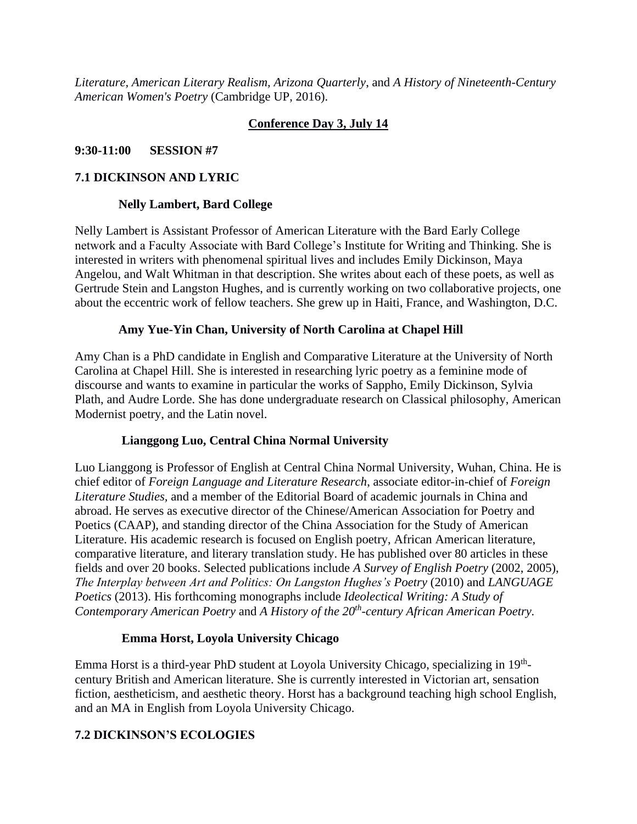*Literature, American Literary Realism, Arizona Quarterly*, and *A History of Nineteenth-Century American Women's Poetry* (Cambridge UP, 2016).

### **Conference Day 3, July 14**

#### **9:30-11:00 SESSION #7**

#### **7.1 DICKINSON AND LYRIC**

#### **Nelly Lambert, Bard College**

Nelly Lambert is Assistant Professor of American Literature with the Bard Early College network and a Faculty Associate with Bard College's Institute for Writing and Thinking. She is interested in writers with phenomenal spiritual lives and includes Emily Dickinson, Maya Angelou, and Walt Whitman in that description. She writes about each of these poets, as well as Gertrude Stein and Langston Hughes, and is currently working on two collaborative projects, one about the eccentric work of fellow teachers. She grew up in Haiti, France, and Washington, D.C.

#### **Amy Yue-Yin Chan, University of North Carolina at Chapel Hill**

Amy Chan is a PhD candidate in English and Comparative Literature at the University of North Carolina at Chapel Hill. She is interested in researching lyric poetry as a feminine mode of discourse and wants to examine in particular the works of Sappho, Emily Dickinson, Sylvia Plath, and Audre Lorde. She has done undergraduate research on Classical philosophy, American Modernist poetry, and the Latin novel.

### **Lianggong Luo, Central China Normal University**

Luo Lianggong is Professor of English at Central China Normal University, Wuhan, China. He is chief editor of *Foreign Language and Literature Research*, associate editor-in-chief of *Foreign Literature Studies,* and a member of the Editorial Board of academic journals in China and abroad. He serves as executive director of the Chinese/American Association for Poetry and Poetics (CAAP), and standing director of the China Association for the Study of American Literature. His academic research is focused on English poetry, African American literature, comparative literature, and literary translation study. He has published over 80 articles in these fields and over 20 books. Selected publications include *A Survey of English Poetry* (2002, 2005), *The Interplay between Art and Politics: On Langston Hughes's Poetry* (2010) and *LANGUAGE Poetics* (2013). His forthcoming monographs include *Ideolectical Writing: A Study of Contemporary American Poetry* and *A History of the 20th -century African American Poetry.*

### **Emma Horst, Loyola University Chicago**

Emma Horst is a third-year PhD student at Loyola University Chicago, specializing in 19<sup>th</sup>century British and American literature. She is currently interested in Victorian art, sensation fiction, aestheticism, and aesthetic theory. Horst has a background teaching high school English, and an MA in English from Loyola University Chicago.

### **7.2 DICKINSON'S ECOLOGIES**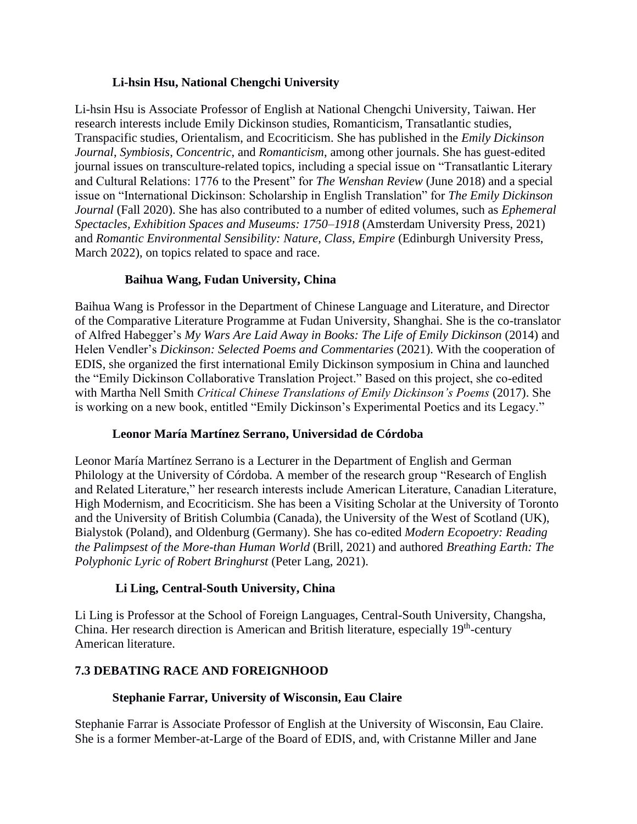### **Li-hsin Hsu, National Chengchi University**

Li-hsin Hsu is Associate Professor of English at National Chengchi University, Taiwan. Her research interests include Emily Dickinson studies, Romanticism, Transatlantic studies, Transpacific studies, Orientalism, and Ecocriticism. She has published in the *Emily Dickinson Journal*, *Symbiosis*, *Concentric*, and *Romanticism*, among other journals. She has guest-edited journal issues on transculture-related topics, including a special issue on "Transatlantic Literary and Cultural Relations: 1776 to the Present" for *The Wenshan Review* (June 2018) and a special issue on "International Dickinson: Scholarship in English Translation" for *The Emily Dickinson Journal* (Fall 2020). She has also contributed to a number of edited volumes, such as *Ephemeral Spectacles, Exhibition Spaces and Museums: 1750–1918* (Amsterdam University Press, 2021) and *Romantic Environmental Sensibility: Nature, Class, Empire* (Edinburgh University Press, March 2022), on topics related to space and race.

## **Baihua Wang, Fudan University, China**

Baihua Wang is Professor in the Department of Chinese Language and Literature, and Director of the Comparative Literature Programme at Fudan University, Shanghai. She is the co-translator of Alfred Habegger's *My Wars Are Laid Away in Books: The Life of Emily Dickinson* (2014) and Helen Vendler's *Dickinson: Selected Poems and Commentaries* (2021). With the cooperation of EDIS, she organized the first international Emily Dickinson symposium in China and launched the "Emily Dickinson Collaborative Translation Project." Based on this project, she co-edited with Martha Nell Smith *Critical Chinese Translations of Emily Dickinson's Poems* (2017). She is working on a new book, entitled "Emily Dickinson's Experimental Poetics and its Legacy."

### **Leonor María Martínez Serrano, Universidad de Córdoba**

Leonor María Martínez Serrano is a Lecturer in the Department of English and German Philology at the University of Córdoba. A member of the research group "Research of English and Related Literature," her research interests include American Literature, Canadian Literature, High Modernism, and Ecocriticism. She has been a Visiting Scholar at the University of Toronto and the University of British Columbia (Canada), the University of the West of Scotland (UK), Bialystok (Poland), and Oldenburg (Germany). She has co-edited *Modern Ecopoetry: Reading the Palimpsest of the More-than Human World* (Brill, 2021) and authored *Breathing Earth: The Polyphonic Lyric of Robert Bringhurst* (Peter Lang, 2021).

### **Li Ling, Central-South University, China**

Li Ling is Professor at the School of Foreign Languages, Central-South University, Changsha, China. Her research direction is American and British literature, especially 19<sup>th</sup>-century American literature.

## **7.3 DEBATING RACE AND FOREIGNHOOD**

### **Stephanie Farrar, University of Wisconsin, Eau Claire**

Stephanie Farrar is Associate Professor of English at the University of Wisconsin, Eau Claire. She is a former Member-at-Large of the Board of EDIS, and, with Cristanne Miller and Jane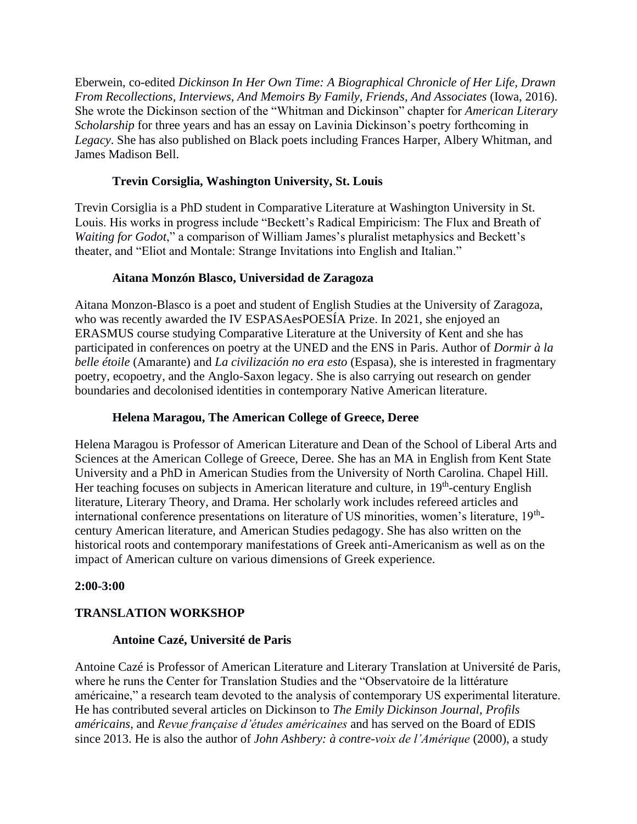Eberwein, co-edited *Dickinson In Her Own Time: A Biographical Chronicle of Her Life, Drawn From Recollections, Interviews, And Memoirs By Family, Friends, And Associates* (Iowa, 2016). She wrote the Dickinson section of the "Whitman and Dickinson" chapter for *American Literary Scholarship* for three years and has an essay on Lavinia Dickinson's poetry forthcoming in *Legacy*. She has also published on Black poets including Frances Harper, Albery Whitman, and James Madison Bell.

#### **Trevin Corsiglia, Washington University, St. Louis**

Trevin Corsiglia is a PhD student in Comparative Literature at Washington University in St. Louis. His works in progress include "Beckett's Radical Empiricism: The Flux and Breath of *Waiting for Godot*," a comparison of William James's pluralist metaphysics and Beckett's theater, and "Eliot and Montale: Strange Invitations into English and Italian."

#### **Aitana Monzón Blasco, Universidad de Zaragoza**

Aitana Monzon-Blasco is a poet and student of English Studies at the University of Zaragoza, who was recently awarded the IV ESPASAesPOESÍA Prize. In 2021, she enjoyed an ERASMUS course studying Comparative Literature at the University of Kent and she has participated in conferences on poetry at the UNED and the ENS in Paris. Author of *Dormir à la belle étoile* (Amarante) and *La civilización no era esto* (Espasa), she is interested in fragmentary poetry, ecopoetry, and the Anglo-Saxon legacy. She is also carrying out research on gender boundaries and decolonised identities in contemporary Native American literature.

#### **Helena Maragou, The American College of Greece, Deree**

Helena Maragou is Professor of American Literature and Dean of the School of Liberal Arts and Sciences at the American College of Greece, Deree. She has an MA in English from Kent State University and a PhD in American Studies from the University of North Carolina. Chapel Hill. Her teaching focuses on subjects in American literature and culture, in 19<sup>th</sup>-century English literature, Literary Theory, and Drama. Her scholarly work includes refereed articles and international conference presentations on literature of US minorities, women's literature, 19<sup>th</sup>century American literature, and American Studies pedagogy. She has also written on the historical roots and contemporary manifestations of Greek anti-Americanism as well as on the impact of American culture on various dimensions of Greek experience.

### **2:00-3:00**

### **TRANSLATION WORKSHOP**

#### **Antoine Cazé, Université de Paris**

Antoine Cazé is Professor of American Literature and Literary Translation at Université de Paris, where he runs the Center for Translation Studies and the "Observatoire de la littérature américaine," a research team devoted to the analysis of contemporary US experimental literature. He has contributed several articles on Dickinson to *The Emily Dickinson Journal*, *Profils américains*, and *Revue française d'études américaines* and has served on the Board of EDIS since 2013. He is also the author of *John Ashbery: à contre-voix de l'Amérique* (2000), a study